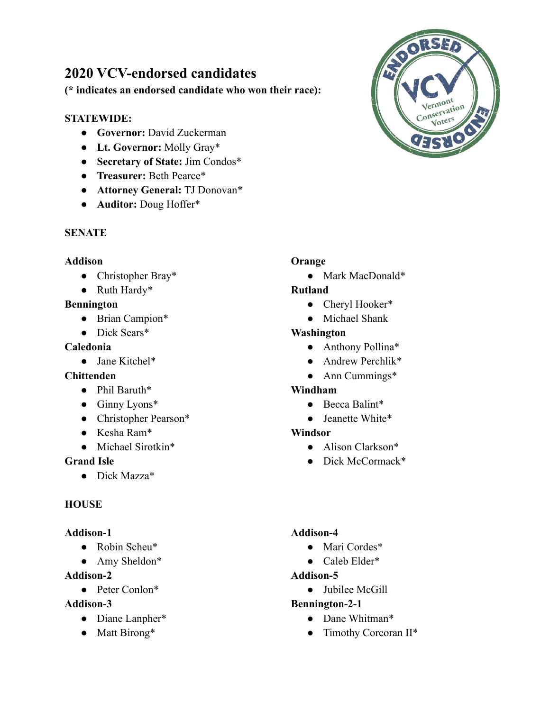# **2020 VCV-endorsed candidates**

**(\* indicates an endorsed candidate who won their race):**

### **STATEWIDE:**

- **● Governor:** David Zuckerman
- **● Lt. Governor:** Molly Gray\*
- **● Secretary of State:** Jim Condos\*
- **● Treasurer:** Beth Pearce\*
- **● Attorney General:** TJ Donovan\*
- **● Auditor:** Doug Hoffer\*

#### **SENATE**

#### **Addison**

- Christopher Bray\*
- Ruth Hardy\*

#### **Bennington**

- Brian Campion\*
- Dick Sears\*

#### **Caledonia**

● Jane Kitchel\*

### **Chittenden**

- Phil Baruth\*
- Ginny Lyons\*
- Christopher Pearson\*
- Kesha Ram\*
- Michael Sirotkin\*

### **Grand Isle**

● Dick Mazza\*

### **HOUSE**

#### **Addison-1**

- Robin Scheu\*
- Amy Sheldon\*

### **Addison-2**

● Peter Conlon\*

#### **Addison-3**

- Diane Lanpher\*
- Matt Birong\*

### **Orange**

● Mark MacDonald\*

### **Rutland**

- Cheryl Hooker\*
- Michael Shank

### **Washington**

- Anthony Pollina\*
- Andrew Perchlik\*
- Ann Cummings\*

### **Windham**

- Becca Balint\*
- Jeanette White\*

#### **Windsor**

- Alison Clarkson\*
- Dick McCormack\*

#### **Addison-4**

- Mari Cordes\*
- Caleb Elder\*

### **Addison-5**

● Jubilee McGill

### **Bennington-2-1**

- Dane Whitman\*
- Timothy Corcoran II\*

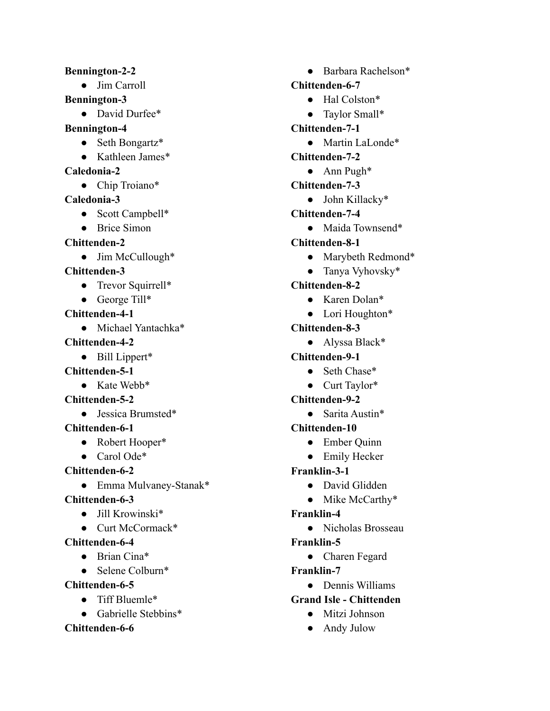#### **Bennington-2-2**

● Jim Carroll

#### **Bennington-3**

- David Durfee\*
- **Bennington-4**
	- Seth Bongartz\*
	- Kathleen James\*

#### **Caledonia-2**

● Chip Troiano\*

### **Caledonia-3**

- Scott Campbell\*
- Brice Simon

### **Chittenden-2**

• Jim McCullough\*

**Chittenden-3**

- Trevor Squirrell\*
- George Till\*

**Chittenden-4-1**

● Michael Yantachka\*

### **Chittenden-4-2**

● Bill Lippert\*

### **Chittenden-5-1**

● Kate Webb\*

### **Chittenden-5-2**

● Jessica Brumsted\*

### **Chittenden-6-1**

- Robert Hooper\*
- Carol Ode<sup>\*</sup>

## **Chittenden-6-2**

● Emma Mulvaney-Stanak\*

### **Chittenden-6-3**

- Jill Krowinski\*
- Curt McCormack\*

## **Chittenden-6-4**

- Brian Cina\*
- Selene Colburn\*

### **Chittenden-6-5**

- Tiff Bluemle\*
- Gabrielle Stebbins\*

### **Chittenden-6-6**

● Barbara Rachelson\*

### **Chittenden-6-7**

- Hal Colston\*
- Taylor Small\*
- **Chittenden-7-1**
	- Martin LaLonde\*

### **Chittenden-7-2**

- Ann Pugh\*
- **Chittenden-7-3**
	- John Killacky\*
- **Chittenden-7-4**
	- Maida Townsend\*
- **Chittenden-8-1**
	- Marybeth Redmond\*
	- Tanya Vyhovsky\*

## **Chittenden-8-2**

- Karen Dolan\*
- Lori Houghton\*

## **Chittenden-8-3**

● Alyssa Black\*

## **Chittenden-9-1**

- Seth Chase\*
- Curt Taylor\*

## **Chittenden-9-2**

● Sarita Austin\*

## **Chittenden-10**

- Ember Quinn
- Emily Hecker

## **Franklin-3-1**

- David Glidden
- Mike McCarthy\*

## **Franklin-4**

● Nicholas Brosseau

## **Franklin-5**

● Charen Fegard

### **Franklin-7**

● Dennis Williams

## **Grand Isle - Chittenden**

- Mitzi Johnson
- Andy Julow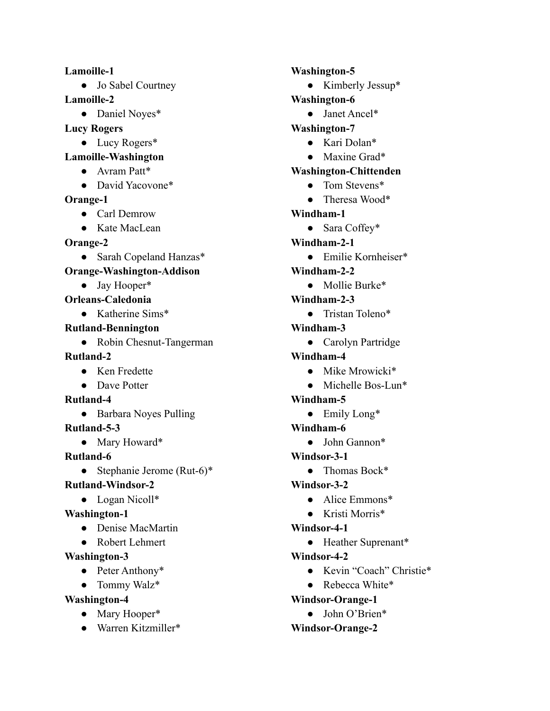#### **Lamoille-1**

• Jo Sabel Courtney

**Lamoille-2**

- Daniel Noyes\*
- **Lucy Rogers**
	- Lucy Rogers\*
- **Lamoille-Washington**
	- Avram Patt\*
	- David Yacovone\*

### **Orange-1**

- Carl Demrow
- Kate MacLean

### **Orange-2**

- Sarah Copeland Hanzas\*
- **Orange-Washington-Addison**
	- Jay Hooper\*
- **Orleans-Caledonia**
	- Katherine Sims\*

### **Rutland-Bennington**

• Robin Chesnut-Tangerman

### **Rutland-2**

- Ken Fredette
- Dave Potter

### **Rutland-4**

● Barbara Noyes Pulling

### **Rutland-5-3**

- Mary Howard\*
- **Rutland-6**
	- Stephanie Jerome (Rut-6)\*

## **Rutland-Windsor-2**

● Logan Nicoll\*

## **Washington-1**

- Denise MacMartin
- Robert Lehmert

## **Washington-3**

- Peter Anthony\*
- Tommy Walz\*

## **Washington-4**

- Mary Hooper\*
- Warren Kitzmiller\*

### **Washington-5**

● Kimberly Jessup\*

## **Washington-6**

- Janet Ancel\*
- **Washington-7**
	- Kari Dolan\*
	- Maxine Grad\*

## **Washington-Chittenden**

- Tom Stevens<sup>\*</sup>
- Theresa Wood\*
- **Windham-1**
	- Sara Coffey\*
- **Windham-2-1**
	- Emilie Kornheiser\*
- **Windham-2-2**
	- Mollie Burke\*
- **Windham-2-3**
	- Tristan Toleno\*
- **Windham-3**
	- Carolyn Partridge
- **Windham-4**
	- Mike Mrowicki\*
	- Michelle Bos-Lun\*

## **Windham-5**

- Emily Long\*
- **Windham-6**
- John Gannon\*
- **Windsor-3-1**
	- Thomas Bock\*
- **Windsor-3-2**
	- Alice Emmons\*
	- Kristi Morris\*

## **Windsor-4-1**

● Heather Suprenant\*

## **Windsor-4-2**

- Kevin "Coach" Christie\*
- Rebecca White\*

## **Windsor-Orange-1**

● John O'Brien\*

## **Windsor-Orange-2**